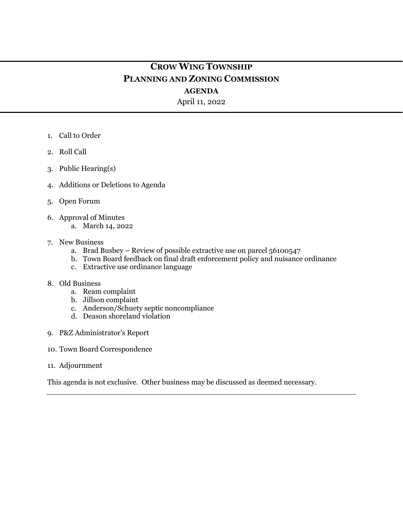# **CROW WING TOWNSHIP PLANNING AND ZONING COMMISSION**

## **AGENDA**

April 11, 2022

- 1. Call to Order
- 2. Roll Call
- 3. Public Hearing(s)
- 4. Additions or Deletions to Agenda
- 5. Open Forum
- 6. Approval of Minutes
	- a. March 14, 2022
- 7. New Business
	- a. Brad Busbey Review of possible extractive use on parcel 56100547
	- b. Town Board feedback on final draft enforcement policy and nuisance ordinance
	- c. Extractive use ordinance language
- 8. Old Business
	- a. Ream complaint
	- b. Jillson complaint
	- c. Anderson/Schuety septic noncompliance
	- d. Deason shoreland violation
- 9. P&Z Administrator's Report
- 10. Town Board Correspondence
- 11. Adjournment

This agenda is not exclusive. Other business may be discussed as deemed necessary.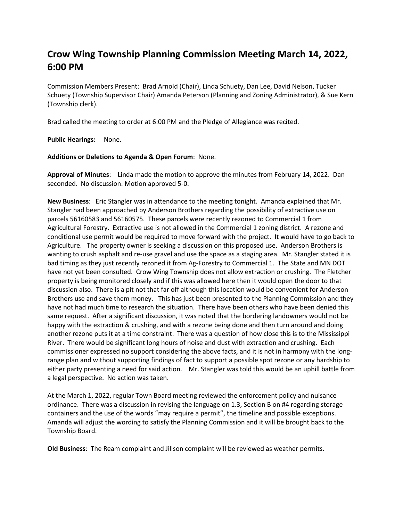# **Crow Wing Township Planning Commission Meeting March 14, 2022, 6:00 PM**

Commission Members Present: Brad Arnold (Chair), Linda Schuety, Dan Lee, David Nelson, Tucker Schuety (Township Supervisor Chair) Amanda Peterson (Planning and Zoning Administrator), & Sue Kern (Township clerk).

Brad called the meeting to order at 6:00 PM and the Pledge of Allegiance was recited.

**Public Hearings:** None.

#### **Additions or Deletions to Agenda & Open Forum**: None.

**Approval of Minutes**: Linda made the motion to approve the minutes from February 14, 2022. Dan seconded. No discussion. Motion approved 5-0.

**New Business**: Eric Stangler was in attendance to the meeting tonight. Amanda explained that Mr. Stangler had been approached by Anderson Brothers regarding the possibility of extractive use on parcels 56160583 and 56160575. These parcels were recently rezoned to Commercial 1 from Agricultural Forestry. Extractive use is not allowed in the Commercial 1 zoning district. A rezone and conditional use permit would be required to move forward with the project. It would have to go back to Agriculture. The property owner is seeking a discussion on this proposed use. Anderson Brothers is wanting to crush asphalt and re-use gravel and use the space as a staging area. Mr. Stangler stated it is bad timing as they just recently rezoned it from Ag-Forestry to Commercial 1. The State and MN DOT have not yet been consulted. Crow Wing Township does not allow extraction or crushing. The Fletcher property is being monitored closely and if this was allowed here then it would open the door to that discussion also. There is a pit not that far off although this location would be convenient for Anderson Brothers use and save them money. This has just been presented to the Planning Commission and they have not had much time to research the situation. There have been others who have been denied this same request. After a significant discussion, it was noted that the bordering landowners would not be happy with the extraction & crushing, and with a rezone being done and then turn around and doing another rezone puts it at a time constraint. There was a question of how close this is to the Mississippi River. There would be significant long hours of noise and dust with extraction and crushing. Each commissioner expressed no support considering the above facts, and it is not in harmony with the longrange plan and without supporting findings of fact to support a possible spot rezone or any hardship to either party presenting a need for said action. Mr. Stangler was told this would be an uphill battle from a legal perspective. No action was taken.

At the March 1, 2022, regular Town Board meeting reviewed the enforcement policy and nuisance ordinance. There was a discussion in revising the language on 1.3, Section B on #4 regarding storage containers and the use of the words "may require a permit", the timeline and possible exceptions. Amanda will adjust the wording to satisfy the Planning Commission and it will be brought back to the Township Board.

**Old Business**: The Ream complaint and Jillson complaint will be reviewed as weather permits.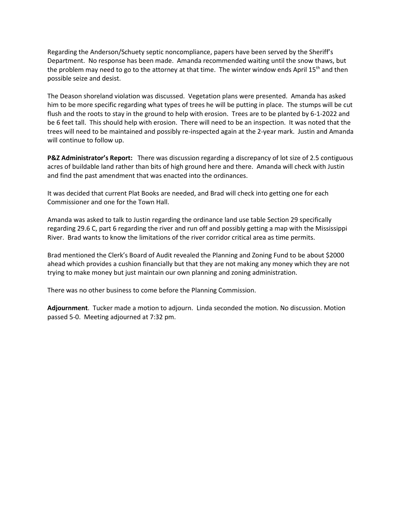Regarding the Anderson/Schuety septic noncompliance, papers have been served by the Sheriff's Department. No response has been made. Amanda recommended waiting until the snow thaws, but the problem may need to go to the attorney at that time. The winter window ends April 15<sup>th</sup> and then possible seize and desist.

The Deason shoreland violation was discussed. Vegetation plans were presented. Amanda has asked him to be more specific regarding what types of trees he will be putting in place. The stumps will be cut flush and the roots to stay in the ground to help with erosion. Trees are to be planted by 6-1-2022 and be 6 feet tall. This should help with erosion. There will need to be an inspection. It was noted that the trees will need to be maintained and possibly re-inspected again at the 2-year mark. Justin and Amanda will continue to follow up.

**P&Z Administrator's Report:** There was discussion regarding a discrepancy of lot size of 2.5 contiguous acres of buildable land rather than bits of high ground here and there. Amanda will check with Justin and find the past amendment that was enacted into the ordinances.

It was decided that current Plat Books are needed, and Brad will check into getting one for each Commissioner and one for the Town Hall.

Amanda was asked to talk to Justin regarding the ordinance land use table Section 29 specifically regarding 29.6 C, part 6 regarding the river and run off and possibly getting a map with the Mississippi River. Brad wants to know the limitations of the river corridor critical area as time permits.

Brad mentioned the Clerk's Board of Audit revealed the Planning and Zoning Fund to be about \$2000 ahead which provides a cushion financially but that they are not making any money which they are not trying to make money but just maintain our own planning and zoning administration.

There was no other business to come before the Planning Commission.

**Adjournment**. Tucker made a motion to adjourn. Linda seconded the motion. No discussion. Motion passed 5-0. Meeting adjourned at 7:32 pm.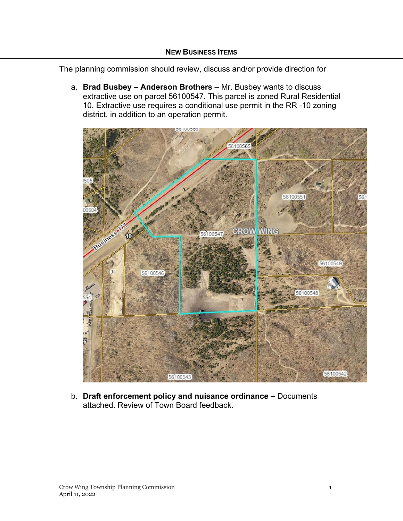The planning commission should review, discuss and/or provide direction for

a. **Brad Busbey – Anderson Brothers** – Mr. Busbey wants to discuss extractive use on parcel 56100547. This parcel is zoned Rural Residential 10. Extractive use requires a conditional use permit in the RR -10 zoning district, in addition to an operation permit.



b. **Draft enforcement policy and nuisance ordinance –** Documents attached. Review of Town Board feedback.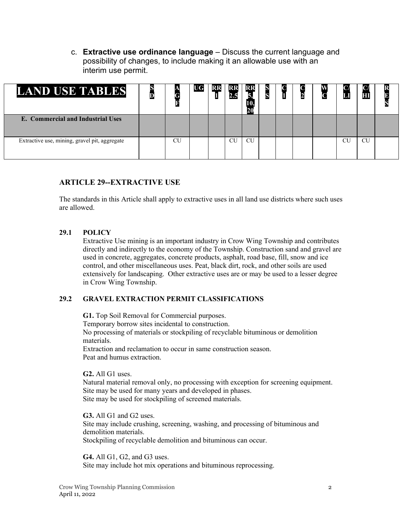c. **Extractive use ordinance language** – Discuss the current language and possibility of changes, to include making it an allowable use with an interim use permit.

| <b>LAND USE TABLES</b>                        |    | UG | KĿ | KK | RF<br>20  |  | Ł | $\mathsf{C}$ |    | Π         |  |
|-----------------------------------------------|----|----|----|----|-----------|--|---|--------------|----|-----------|--|
| E. Commercial and Industrial Uses             |    |    |    |    |           |  |   |              |    |           |  |
| Extractive use, mining, gravel pit, aggregate | CU |    |    | CU | <b>CU</b> |  |   |              | CU | <b>CU</b> |  |

## **ARTICLE 29--EXTRACTIVE USE**

The standards in this Article shall apply to extractive uses in all land use districts where such uses are allowed.

#### **29.1 POLICY**

Extractive Use mining is an important industry in Crow Wing Township and contributes directly and indirectly to the economy of the Township. Construction sand and gravel are used in concrete, aggregates, concrete products, asphalt, road base, fill, snow and ice control, and other miscellaneous uses. Peat, black dirt, rock, and other soils are used extensively for landscaping. Other extractive uses are or may be used to a lesser degree in Crow Wing Township.

#### **29.2 GRAVEL EXTRACTION PERMIT CLASSIFICATIONS**

**G1.** Top Soil Removal for Commercial purposes. Temporary borrow sites incidental to construction. No processing of materials or stockpiling of recyclable bituminous or demolition materials. Extraction and reclamation to occur in same construction season. Peat and humus extraction.

**G2.** All G1 uses.

Natural material removal only, no processing with exception for screening equipment. Site may be used for many years and developed in phases. Site may be used for stockpiling of screened materials.

**G3.** All G1 and G2 uses. Site may include crushing, screening, washing, and processing of bituminous and demolition materials. Stockpiling of recyclable demolition and bituminous can occur.

**G4.** All G1, G2, and G3 uses. Site may include hot mix operations and bituminous reprocessing.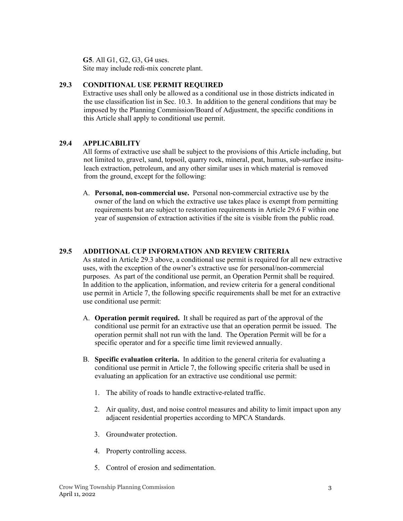**G5**. All G1, G2, G3, G4 uses. Site may include redi-mix concrete plant.

### **29.3 CONDITIONAL USE PERMIT REQUIRED**

Extractive uses shall only be allowed as a conditional use in those districts indicated in the use classification list in Sec. 10.3. In addition to the general conditions that may be imposed by the Planning Commission/Board of Adjustment, the specific conditions in this Article shall apply to conditional use permit.

## **29.4 APPLICABILITY**

All forms of extractive use shall be subject to the provisions of this Article including, but not limited to, gravel, sand, topsoil, quarry rock, mineral, peat, humus, sub-surface insituleach extraction, petroleum, and any other similar uses in which material is removed from the ground, except for the following:

A. **Personal, non-commercial use.** Personal non-commercial extractive use by the owner of the land on which the extractive use takes place is exempt from permitting requirements but are subject to restoration requirements in Article 29.6 F within one year of suspension of extraction activities if the site is visible from the public road.

## **29.5 ADDITIONAL CUP INFORMATION AND REVIEW CRITERIA**

As stated in Article 29.3 above, a conditional use permit is required for all new extractive uses, with the exception of the owner's extractive use for personal/non-commercial purposes. As part of the conditional use permit, an Operation Permit shall be required. In addition to the application, information, and review criteria for a general conditional use permit in Article 7, the following specific requirements shall be met for an extractive use conditional use permit:

- A. **Operation permit required.** It shall be required as part of the approval of the conditional use permit for an extractive use that an operation permit be issued. The operation permit shall not run with the land. The Operation Permit will be for a specific operator and for a specific time limit reviewed annually.
- B. **Specific evaluation criteria.** In addition to the general criteria for evaluating a conditional use permit in Article 7, the following specific criteria shall be used in evaluating an application for an extractive use conditional use permit:
	- 1. The ability of roads to handle extractive-related traffic.
	- 2. Air quality, dust, and noise control measures and ability to limit impact upon any adjacent residential properties according to MPCA Standards.
	- 3. Groundwater protection.
	- 4. Property controlling access.
	- 5. Control of erosion and sedimentation.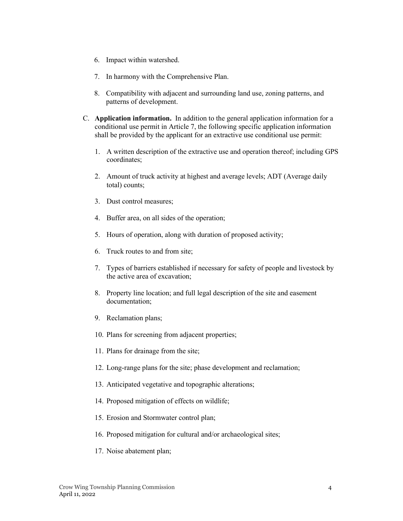- 6. Impact within watershed.
- 7. In harmony with the Comprehensive Plan.
- 8. Compatibility with adjacent and surrounding land use, zoning patterns, and patterns of development.
- C. **Application information.** In addition to the general application information for a conditional use permit in Article 7, the following specific application information shall be provided by the applicant for an extractive use conditional use permit:
	- 1. A written description of the extractive use and operation thereof; including GPS coordinates;
	- 2. Amount of truck activity at highest and average levels; ADT (Average daily total) counts;
	- 3. Dust control measures;
	- 4. Buffer area, on all sides of the operation;
	- 5. Hours of operation, along with duration of proposed activity;
	- 6. Truck routes to and from site;
	- 7. Types of barriers established if necessary for safety of people and livestock by the active area of excavation;
	- 8. Property line location; and full legal description of the site and easement documentation;
	- 9. Reclamation plans;
	- 10. Plans for screening from adjacent properties;
	- 11. Plans for drainage from the site;
	- 12. Long-range plans for the site; phase development and reclamation;
	- 13. Anticipated vegetative and topographic alterations;
	- 14. Proposed mitigation of effects on wildlife;
	- 15. Erosion and Stormwater control plan;
	- 16. Proposed mitigation for cultural and/or archaeological sites;
	- 17. Noise abatement plan;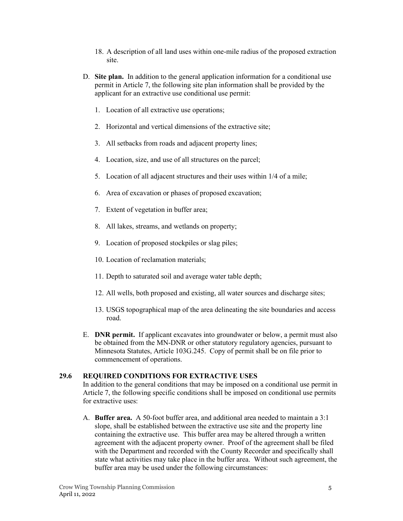- 18. A description of all land uses within one-mile radius of the proposed extraction site.
- D. **Site plan.** In addition to the general application information for a conditional use permit in Article 7, the following site plan information shall be provided by the applicant for an extractive use conditional use permit:
	- 1. Location of all extractive use operations;
	- 2. Horizontal and vertical dimensions of the extractive site;
	- 3. All setbacks from roads and adjacent property lines;
	- 4. Location, size, and use of all structures on the parcel;
	- 5. Location of all adjacent structures and their uses within 1/4 of a mile;
	- 6. Area of excavation or phases of proposed excavation;
	- 7. Extent of vegetation in buffer area;
	- 8. All lakes, streams, and wetlands on property;
	- 9. Location of proposed stockpiles or slag piles;
	- 10. Location of reclamation materials;
	- 11. Depth to saturated soil and average water table depth;
	- 12. All wells, both proposed and existing, all water sources and discharge sites;
	- 13. USGS topographical map of the area delineating the site boundaries and access road.
- E. **DNR permit.** If applicant excavates into groundwater or below, a permit must also be obtained from the MN-DNR or other statutory regulatory agencies, pursuant to Minnesota Statutes, Article 103G.245. Copy of permit shall be on file prior to commencement of operations.

#### **29.6 REQUIRED CONDITIONS FOR EXTRACTIVE USES**

In addition to the general conditions that may be imposed on a conditional use permit in Article 7, the following specific conditions shall be imposed on conditional use permits for extractive uses:

A. **Buffer area.** A 50-foot buffer area, and additional area needed to maintain a 3:1 slope, shall be established between the extractive use site and the property line containing the extractive use. This buffer area may be altered through a written agreement with the adjacent property owner. Proof of the agreement shall be filed with the Department and recorded with the County Recorder and specifically shall state what activities may take place in the buffer area. Without such agreement, the buffer area may be used under the following circumstances: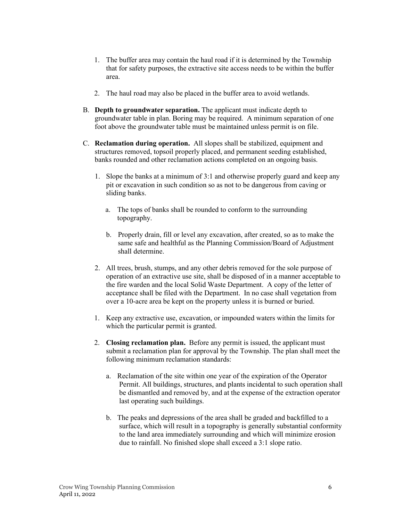- 1. The buffer area may contain the haul road if it is determined by the Township that for safety purposes, the extractive site access needs to be within the buffer area.
- 2. The haul road may also be placed in the buffer area to avoid wetlands.
- B. **Depth to groundwater separation.** The applicant must indicate depth to groundwater table in plan. Boring may be required. A minimum separation of one foot above the groundwater table must be maintained unless permit is on file.
- C. **Reclamation during operation.** All slopes shall be stabilized, equipment and structures removed, topsoil properly placed, and permanent seeding established, banks rounded and other reclamation actions completed on an ongoing basis.
	- 1. Slope the banks at a minimum of 3:1 and otherwise properly guard and keep any pit or excavation in such condition so as not to be dangerous from caving or sliding banks.
		- a. The tops of banks shall be rounded to conform to the surrounding topography.
		- b. Properly drain, fill or level any excavation, after created, so as to make the same safe and healthful as the Planning Commission/Board of Adjustment shall determine.
	- 2. All trees, brush, stumps, and any other debris removed for the sole purpose of operation of an extractive use site, shall be disposed of in a manner acceptable to the fire warden and the local Solid Waste Department. A copy of the letter of acceptance shall be filed with the Department. In no case shall vegetation from over a 10-acre area be kept on the property unless it is burned or buried.
	- 1. Keep any extractive use, excavation, or impounded waters within the limits for which the particular permit is granted.
	- 2. **Closing reclamation plan.** Before any permit is issued, the applicant must submit a reclamation plan for approval by the Township. The plan shall meet the following minimum reclamation standards:
		- a. Reclamation of the site within one year of the expiration of the Operator Permit. All buildings, structures, and plants incidental to such operation shall be dismantled and removed by, and at the expense of the extraction operator last operating such buildings.
		- b. The peaks and depressions of the area shall be graded and backfilled to a surface, which will result in a topography is generally substantial conformity to the land area immediately surrounding and which will minimize erosion due to rainfall. No finished slope shall exceed a 3:1 slope ratio.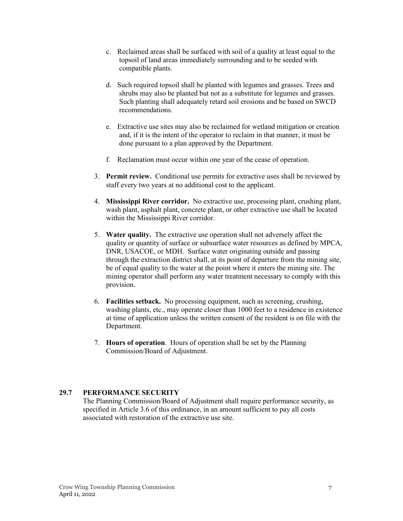- c. Reclaimed areas shall be surfaced with soil of a quality at least equal to the topsoil of land areas immediately surrounding and to be seeded with compatible plants.
- d. Such required topsoil shall be planted with legumes and grasses. Trees and shrubs may also be planted but not as a substitute for legumes and grasses. Such planting shall adequately retard soil erosions and be based on SWCD recommendations.
- e. Extractive use sites may also be reclaimed for wetland mitigation or creation and, if it is the intent of the operator to reclaim in that manner, it must be done pursuant to a plan approved by the Department.
- f. Reclamation must occur within one year of the cease of operation.
- 3. **Permit review.** Conditional use permits for extractive uses shall be reviewed by staff every two years at no additional cost to the applicant.
- 4. **Mississippi River corridor.** No extractive use, processing plant, crushing plant, wash plant, asphalt plant, concrete plant, or other extractive use shall be located within the Mississippi River corridor.
- 5. **Water quality.** The extractive use operation shall not adversely affect the quality or quantity of surface or subsurface water resources as defined by MPCA, DNR, USACOE, or MDH. Surface water originating outside and passing through the extraction district shall, at its point of departure from the mining site, be of equal quality to the water at the point where it enters the mining site. The mining operator shall perform any water treatment necessary to comply with this provision.
- 6. **Facilities setback.** No processing equipment, such as screening, crushing, washing plants, etc., may operate closer than 1000 feet to a residence in existence at time of application unless the written consent of the resident is on file with the Department.
- 7. **Hours of operation**. Hours of operation shall be set by the Planning Commission/Board of Adjustment.

#### **29.7 PERFORMANCE SECURITY**

The Planning Commission/Board of Adjustment shall require performance security, as specified in Article 3.6 of this ordinance, in an amount sufficient to pay all costs associated with restoration of the extractive use site.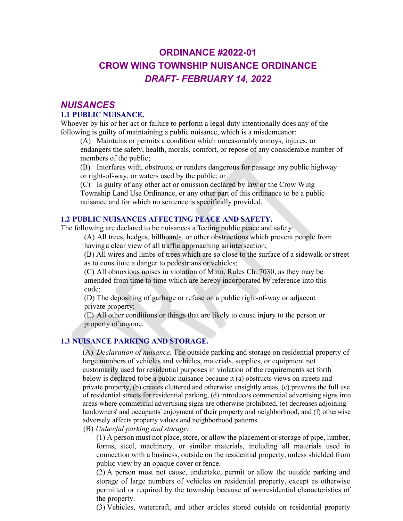# **ORDINANCE #2022-01 CROW WING TOWNSHIP NUISANCE ORDINANCE** *DRAFT- FEBRUARY 14, 2022*

## *NUISANCES* **1.1 PUBLIC NUISANCE.**

Whoever by his or her act or failure to perform a legal duty intentionally does any of the following is guilty of maintaining a public nuisance, which is a misdemeanor:

(A) Maintains or permits a condition which unreasonably annoys, injures, or

endangers the safety, health, morals, comfort, or repose of any considerable number of members of the public;

(B) Interferes with, obstructs, or renders dangerous for passage any public highway or right-of-way, or waters used by the public; or

(C) Is guilty of any other act or omission declared by law or the Crow Wing Township Land Use Ordinance, or any other part of this ordinance to be a public nuisance and for which no sentence is specifically provided.

### **1.2 PUBLIC NUISANCES AFFECTING PEACE AND SAFETY.**

The following are declared to be nuisances affecting public peace and safety:

(A) All trees, hedges, billboards, or other obstructions which prevent people from having a clear view of all traffic approaching an intersection;

(B) All wires and limbs of trees which are so close to the surface of a sidewalk or street as to constitute a danger to pedestrians or vehicles;

(C) All obnoxious noises in violation of Minn. Rules Ch. 7030, as they may be amended from time to time which are hereby incorporated by reference into this code;

(D) The depositing of garbage or refuse on a public right-of-way or adjacent private property;

(E) All other conditions or things that are likely to cause injury to the person or property of anyone.

## **1.3 NUISANCE PARKING AND STORAGE.**

(A) *Declaration of nuisance.* The outside parking and storage on residential property of large numbers of vehicles and vehicles, materials, supplies, or equipment not customarily used for residential purposes in violation of the requirements set forth below is declared tobe a public nuisance because it (a) obstructs views on streets and private property, (b) creates cluttered and otherwise unsightly areas, (c) prevents the full use of residential streets for residential parking, (d) introduces commercial advertising signs into areas where commercial advertising signs are otherwise prohibited, (e) decreases adjoining landowners' and occupants' enjoyment of their property and neighborhood, and (f) otherwise adversely affects property values and neighborhood patterns.

(B) *Unlawful parking and storage.*

(1) A person must not place, store, or allow the placement or storage of pipe, lumber, forms, steel, machinery, or similar materials, including all materials used in connection with a business, outside on the residential property, unless shielded from public view by an opaque cover or fence.

(2) A person must not cause, undertake, permit or allow the outside parking and storage of large numbers of vehicles on residential property, except as otherwise permitted or required by the township because of nonresidential characteristics of the property.

(3) Vehicles, watercraft, and other articles stored outside on residential property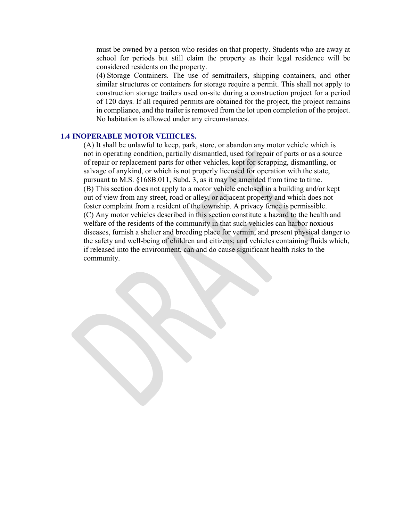must be owned by a person who resides on that property. Students who are away at school for periods but still claim the property as their legal residence will be considered residents on the property.

(4) Storage Containers. The use of semitrailers, shipping containers, and other similar structures or containers for storage require a permit. This shall not apply to construction storage trailers used on-site during a construction project for a period of 120 days. If all required permits are obtained for the project, the project remains in compliance, and the trailer is removed from the lot upon completion of the project. No habitation is allowed under any circumstances.

#### **1.4 INOPERABLE MOTOR VEHICLES.**

(A) It shall be unlawful to keep, park, store, or abandon any motor vehicle which is not in operating condition, partially dismantled, used for repair of parts or as a source of repair or replacement parts for other vehicles, kept for scrapping, dismantling, or salvage of anykind, or which is not properly licensed for operation with the state, pursuant to M.S. §168B.011, Subd. 3, as it may be amended from time to time. (B) This section does not apply to a motor vehicle enclosed in a building and/or kept out of view from any street, road or alley, or adjacent property and which does not foster complaint from a resident of the township. A privacy fence is permissible. (C) Any motor vehicles described in this section constitute a hazard to the health and welfare of the residents of the community in that such vehicles can harbor noxious diseases, furnish a shelter and breeding place for vermin, and present physical danger to the safety and well-being of children and citizens; and vehicles containing fluids which, if released into the environment, can and do cause significant health risks to the community.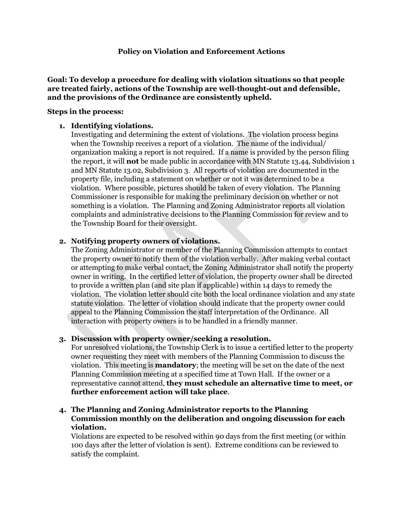### **Policy on Violation and Enforcement Actions**

**Goal: To develop a procedure for dealing with violation situations so that people are treated fairly, actions of the Township are well-thought-out and defensible, and the provisions of the Ordinance are consistently upheld.**

#### **Steps in the process:**

#### **1. Identifying violations.**

Investigating and determining the extent of violations. The violation process begins when the Township receives a report of a violation. The name of the individual/ organization making a report is not required. If a name is provided by the person filing the report, it will **not** be made public in accordance with MN Statute 13.44, Subdivision 1 and MN Statute 13.02, Subdivision 3. All reports of violation are documented in the property file, including a statement on whether or not it was determined to be a violation. Where possible, pictures should be taken of every violation. The Planning Commissioner is responsible for making the preliminary decision on whether or not something is a violation. The Planning and Zoning Administrator reports all violation complaints and administrative decisions to the Planning Commission for review and to the Township Board for their oversight.

### **2. Notifying property owners of violations.**

The Zoning Administrator or member of the Planning Commission attempts to contact the property owner to notify them of the violation verbally. After making verbal contact or attempting to make verbal contact, the Zoning Administrator shall notify the property owner in writing. In the certified letter of violation, the property owner shall be directed to provide a written plan (and site plan if applicable) within 14 days to remedy the violation. The violation letter should cite both the local ordinance violation and any state statute violation. The letter of violation should indicate that the property owner could appeal to the Planning Commission the staff interpretation of the Ordinance. All interaction with property owners is to be handled in a friendly manner.

#### **3. Discussion with property owner/seeking a resolution.**

For unresolved violations, the Township Clerk is to issue a certified letter to the property owner requesting they meet with members of the Planning Commission to discuss the violation. This meeting is **mandatory**; the meeting will be set on the date of the next Planning Commission meeting at a specified time at Town Hall. If the owner or a representative cannot attend, **they must schedule an alternative time to meet, or further enforcement action will take place**.

## **4. The Planning and Zoning Administrator reports to the Planning Commission monthly on the deliberation and ongoing discussion for each violation.**

Violations are expected to be resolved within 90 days from the first meeting (or within 100 days after the letter of violation is sent). Extreme conditions can be reviewed to satisfy the complaint.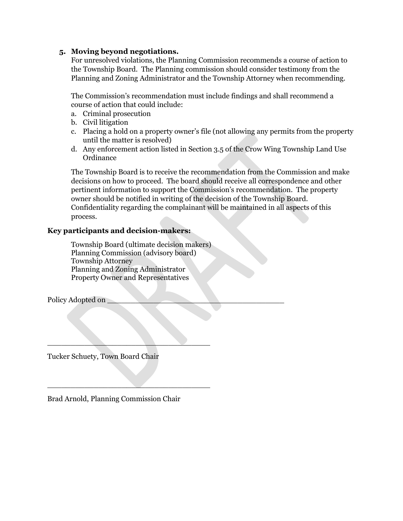## **5. Moving beyond negotiations.**

For unresolved violations, the Planning Commission recommends a course of action to the Township Board. The Planning commission should consider testimony from the Planning and Zoning Administrator and the Township Attorney when recommending.

The Commission's recommendation must include findings and shall recommend a course of action that could include:

- a. Criminal prosecution
- b. Civil litigation
- c. Placing a hold on a property owner's file (not allowing any permits from the property until the matter is resolved)
- d. Any enforcement action listed in Section 3.5 of the Crow Wing Township Land Use **Ordinance**

The Township Board is to receive the recommendation from the Commission and make decisions on how to proceed. The board should receive all correspondence and other pertinent information to support the Commission's recommendation. The property owner should be notified in writing of the decision of the Township Board. Confidentiality regarding the complainant will be maintained in all aspects of this process.

## **Key participants and decision-makers:**

Township Board (ultimate decision makers) Planning Commission (advisory board) Township Attorney Planning and Zoning Administrator Property Owner and Representatives

Policy Adopted on

Tucker Schuety, Town Board Chair

Brad Arnold, Planning Commission Chair

 $\mathcal{L}=\mathcal{L}=\mathcal{L}=\mathcal{L}=\mathcal{L}=\mathcal{L}=\mathcal{L}=\mathcal{L}=\mathcal{L}=\mathcal{L}=\mathcal{L}=\mathcal{L}=\mathcal{L}=\mathcal{L}=\mathcal{L}=\mathcal{L}=\mathcal{L}=\mathcal{L}=\mathcal{L}=\mathcal{L}=\mathcal{L}=\mathcal{L}=\mathcal{L}=\mathcal{L}=\mathcal{L}=\mathcal{L}=\mathcal{L}=\mathcal{L}=\mathcal{L}=\mathcal{L}=\mathcal{L}=\mathcal{L}=\mathcal{L}=\mathcal{L}=\mathcal{L}=\mathcal{L}=\mathcal{$ 

 $\overline{\phantom{a}}$  , where  $\overline{\phantom{a}}$  , where  $\overline{\phantom{a}}$  , where  $\overline{\phantom{a}}$  , where  $\overline{\phantom{a}}$